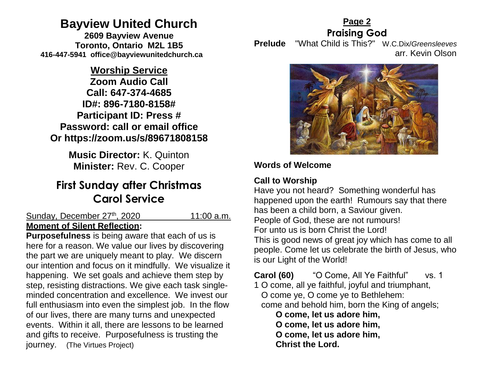# **Bayview United Church**

**2609 Bayview Avenue Toronto, Ontario M2L 1B5 416-447-5941 office@bayviewunitedchurch.ca** 

## **Worship Service**

**Zoom Audio Call Call: 647-374-4685 ID#: 896-7180-8158# Participant ID: Press # Password: call or email office Or https://zoom.us/s/89671808158**

> **Music Director:** K. Quinton **Minister:** Rev. C. Cooper

## **First Sunday after Christmas Carol Service**

Sunday, December 27th, 2020  $11:00$  a.m. **Moment of Silent Reflection:**

**Purposefulness** is being aware that each of us is here for a reason. We value our lives by discovering the part we are uniquely meant to play. We discern our intention and focus on it mindfully. We visualize it happening. We set goals and achieve them step by step, resisting distractions. We give each task singleminded concentration and excellence. We invest our full enthusiasm into even the simplest job. In the flow of our lives, there are many turns and unexpected events. Within it all, there are lessons to be learned and gifts to receive. Purposefulness is trusting the journey. (The Virtues Project)

**Page 2 Praising God**

**Prelude** "What Child is This?" W.C.Dix/*Greensleeves* arr. Kevin Olson



### **Words of Welcome**

#### **Call to Worship**

Have you not heard? Something wonderful has happened upon the earth! Rumours say that there has been a child born, a Saviour given. People of God, these are not rumours! For unto us is born Christ the Lord! This is good news of great joy which has come to all people. Come let us celebrate the birth of Jesus, who is our Light of the World!

#### **Carol (60)** "O Come, All Ye Faithful" vs. 1

1 O come, all ye faithful, joyful and triumphant,

 O come ye, O come ye to Bethlehem: come and behold him, born the King of angels;

 **O come, let us adore him,** 

 **O come, let us adore him,**

 **O come, let us adore him,** 

 **Christ the Lord.**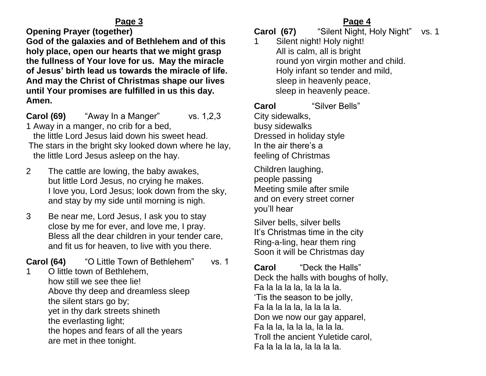#### **Opening Prayer (together)**

**God of the galaxies and of Bethlehem and of this holy place, open our hearts that we might grasp the fullness of Your love for us. May the miracle of Jesus' birth lead us towards the miracle of life. And may the Christ of Christmas shape our lives until Your promises are fulfilled in us this day. Amen.** 

**Carol (69)** "Away In a Manger" vs. 1,2,3 1 Away in a manger, no crib for a bed, the little Lord Jesus laid down his sweet head. The stars in the bright sky looked down where he lay, the little Lord Jesus asleep on the hay.

- 2 The cattle are lowing, the baby awakes, but little Lord Jesus, no crying he makes. I love you, Lord Jesus; look down from the sky, and stay by my side until morning is nigh.
- 3 Be near me, Lord Jesus, I ask you to stay close by me for ever, and love me, I pray. Bless all the dear children in your tender care, and fit us for heaven, to live with you there.

**Carol (64)** "O Little Town of Bethlehem" vs. 1

1 O little town of Bethlehem, how still we see thee lie! Above thy deep and dreamless sleep the silent stars go by; yet in thy dark streets shineth the everlasting light; the hopes and fears of all the years are met in thee tonight.

## **Page 4**

- **Carol (67)** "Silent Night, Holy Night" vs. 1 1 Silent night! Holy night!
- All is calm, all is bright round yon virgin mother and child. Holy infant so tender and mild, sleep in heavenly peace, sleep in heavenly peace.
- **Carol** "Silver Bells" City sidewalks, busy sidewalks Dressed in holiday style In the air there's a feeling of Christmas
- Children laughing, people passing Meeting smile after smile and on every street corner you'll hear

Silver bells, silver bells It's Christmas time in the city Ring-a-ling, hear them ring Soon it will be Christmas day

**Carol** "Deck the Halls" Deck the halls with boughs of holly, Fa la la la la, la la la la. 'Tis the season to be jolly, Fa la la la la, la la la la. Don we now our gay apparel, Fa la la, la la la, la la la. Troll the ancient Yuletide carol, Fa la la la la, la la la la.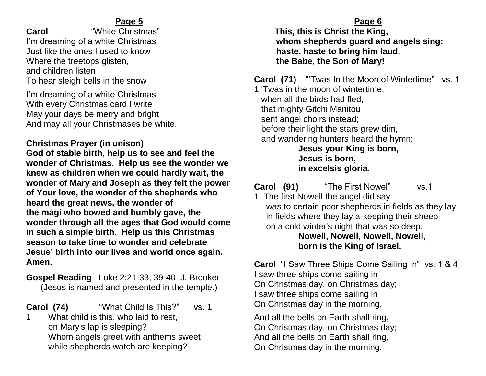**Carol** "White Christmas" I'm dreaming of a white Christmas Just like the ones I used to know Where the treetops glisten, and children listen To hear sleigh bells in the snow

I'm dreaming of a white Christmas With every Christmas card I write May your days be merry and bright And may all your Christmases be white.

#### **Christmas Prayer (in unison)**

**God of stable birth, help us to see and feel the wonder of Christmas. Help us see the wonder we knew as children when we could hardly wait, the wonder of Mary and Joseph as they felt the power of Your love, the wonder of the shepherds who heard the great news, the wonder of the magi who bowed and humbly gave, the wonder through all the ages that God would come in such a simple birth. Help us this Christmas season to take time to wonder and celebrate Jesus' birth into our lives and world once again. Amen.**

**Gospel Reading** Luke 2:21-33; 39-40 J. Brooker (Jesus is named and presented in the temple.)

**Carol (74)** "What Child Is This?"vs. 1

1 What child is this, who laid to rest, on Mary's lap is sleeping? Whom angels greet with anthems sweet while shepherds watch are keeping?

#### **Page 6**

 **This, this is Christ the King, whom shepherds guard and angels sing; haste, haste to bring him laud, the Babe, the Son of Mary!**

**Carol (71)** "'Twas In the Moon of Wintertime" vs. 1 1 'Twas in the moon of wintertime, when all the birds had fled, that mighty Gitchi Manitou sent angel choirs instead; before their light the stars grew dim, and wandering hunters heard the hymn: **Jesus your King is born, Jesus is born, in excelsis gloria.**

**Carol (91)** "The First Nowel" vs.1 1 The first Nowell the angel did say was to certain poor shepherds in fields as they lay; in fields where they lay a-keeping their sheep on a cold winter's night that was so deep. **Nowell, Nowell, Nowell, Nowell, born is the King of Israel.**

**Carol** "I Saw Three Ships Come Sailing In" vs. 1 & 4 I saw three ships come sailing in On Christmas day, on Christmas day; I saw three ships come sailing in On Christmas day in the morning.

And all the bells on Earth shall ring, On Christmas day, on Christmas day; And all the bells on Earth shall ring, On Christmas day in the morning.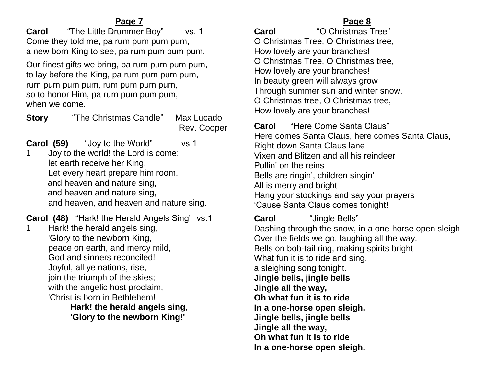**Carol** "The Little Drummer Boy" vs. 1 Come they told me, pa rum pum pum pum, a new born King to see, pa rum pum pum pum.

Our finest gifts we bring, pa rum pum pum pum, to lay before the King, pa rum pum pum pum, rum pum pum pum, rum pum pum pum, so to honor Him, pa rum pum pum pum, when we come.

| <b>Story</b> | "The Christmas Candle" | Max Lucado  |
|--------------|------------------------|-------------|
|              |                        | Rev. Cooper |

**Carol (59)** "Joy to the World" vs.1 1 Joy to the world! the Lord is come: let earth receive her King! Let every heart prepare him room, and heaven and nature sing, and heaven and nature sing, and heaven, and heaven and nature sing.

**Carol (48)** "Hark! the Herald Angels Sing" vs.1

1 Hark! the herald angels sing, 'Glory to the newborn King, peace on earth, and mercy mild, God and sinners reconciled!' Joyful, all ye nations, rise, join the triumph of the skies; with the angelic host proclaim, 'Christ is born in Bethlehem!'

**Hark! the herald angels sing, 'Glory to the newborn King!'**

#### **Page 8**

**Carol** "O Christmas Tree" O Christmas Tree, O Christmas tree, How lovely are your branches! O Christmas Tree, O Christmas tree, How lovely are your branches! In beauty green will always grow Through summer sun and winter snow. O Christmas tree, O Christmas tree, How lovely are your branches!

**Carol** "Here Come Santa Claus" Here comes Santa Claus, here comes Santa Claus, Right down Santa Claus lane Vixen and Blitzen and all his reindeer Pullin' on the reins Bells are ringin', children singin' All is merry and bright Hang your stockings and say your prayers 'Cause Santa Claus comes tonight!

**Carol** "Jingle Bells" Dashing through the snow, in a one-horse open sleigh Over the fields we go, laughing all the way. Bells on bob-tail ring, making spirits bright What fun it is to ride and sing, a sleighing song tonight. **Jingle bells, jingle bells Jingle all the way, Oh what fun it is to ride In a one-horse open sleigh, Jingle bells, jingle bells Jingle all the way, Oh what fun it is to ride In a one-horse open sleigh.**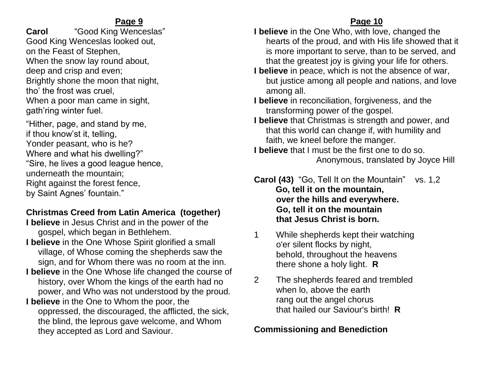**Carol** "Good King Wenceslas" Good King Wenceslas looked out, on the Feast of Stephen, When the snow lay round about, deep and crisp and even; Brightly shone the moon that night, tho' the frost was cruel, When a poor man came in sight, gath'ring winter fuel.

"Hither, page, and stand by me, if thou know'st it, telling, Yonder peasant, who is he? Where and what his dwelling?" "Sire, he lives a good league hence, underneath the mountain; Right against the forest fence, by Saint Agnes' fountain."

#### **Christmas Creed from Latin America (together)**

- **I believe** in Jesus Christ and in the power of the gospel, which began in Bethlehem.
- **I believe** in the One Whose Spirit glorified a small village, of Whose coming the shepherds saw the sign, and for Whom there was no room at the inn.
- **I believe** in the One Whose life changed the course of history, over Whom the kings of the earth had no power, and Who was not understood by the proud.
- **I believe** in the One to Whom the poor, the oppressed, the discouraged, the afflicted, the sick, the blind, the leprous gave welcome, and Whom they accepted as Lord and Saviour.

#### **Page 10**

- **I believe** in the One Who, with love, changed the hearts of the proud, and with His life showed that it is more important to serve, than to be served, and that the greatest joy is giving your life for others.
- **I believe** in peace, which is not the absence of war, but justice among all people and nations, and love among all.
- **I believe** in reconciliation, forgiveness, and the transforming power of the gospel.
- **I believe** that Christmas is strength and power, and that this world can change if, with humility and faith, we kneel before the manger.
- **I believe** that I must be the first one to do so. Anonymous, translated by Joyce Hill
- **Carol (43)** "Go, Tell It on the Mountain" vs. 1,2  **Go, tell it on the mountain, over the hills and everywhere. Go, tell it on the mountain that Jesus Christ is born.**
- 1 While shepherds kept their watching o'er silent flocks by night, behold, throughout the heavens there shone a holy light. **R**
- 2 The shepherds feared and trembled when lo, above the earth rang out the angel chorus that hailed our Saviour's birth! **R**

## **Commissioning and Benediction**